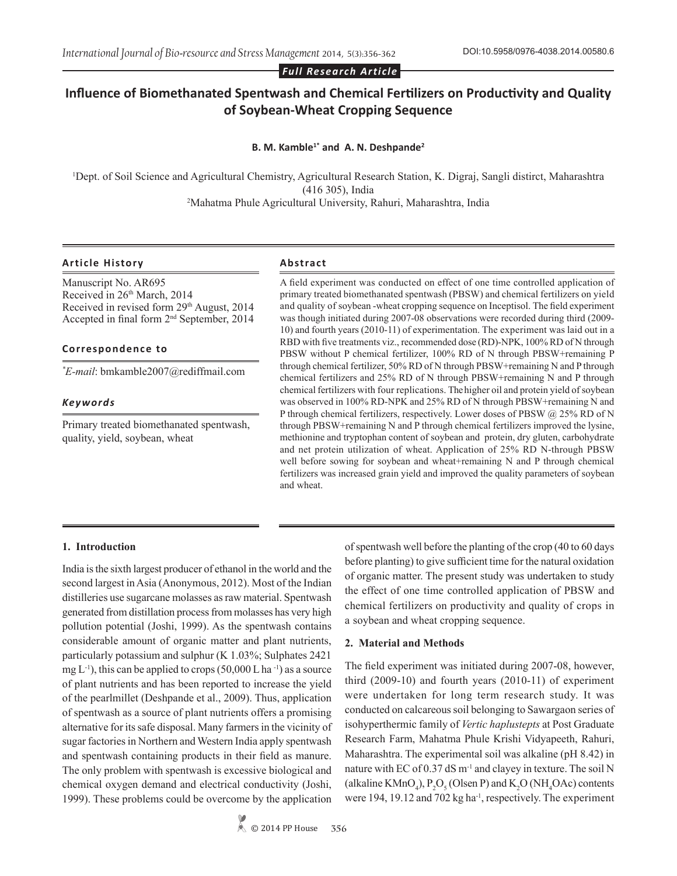*Full Research Article*

# **Influence of Biomethanated Spentwash and Chemical Fertilizers on Productivity and Quality of Soybean-Wheat Cropping Sequence**

### **B. M. Kamble1\* and A. N. Deshpande<sup>2</sup>**

1 Dept. of Soil Science and Agricultural Chemistry, Agricultural Research Station, K. Digraj, Sangli distirct, Maharashtra (416 305), India 2 Mahatma Phule Agricultural University, Rahuri, Maharashtra, India

## **Article History Abstract**

Manuscript No. AR695 Received in 26<sup>th</sup> March, 2014 Received in revised form 29<sup>th</sup> August, 2014 Accepted in final form 2nd September, 2014

## **Correspondence to**

*\* E-mail*: bmkamble2007@rediffmail.com

## *Keywords*

Primary treated biomethanated spentwash, quality, yield, soybean, wheat

A field experiment was conducted on effect of one time controlled application of primary treated biomethanated spentwash (PBSW) and chemical fertilizers on yield and quality of soybean -wheat cropping sequence on Inceptisol. The field experiment was though initiated during 2007-08 observations were recorded during third (2009- 10) and fourth years (2010-11) of experimentation. The experiment was laid out in a RBD with five treatments viz., recommended dose (RD)-NPK, 100% RD of N through PBSW without P chemical fertilizer, 100% RD of N through PBSW+remaining P through chemical fertilizer, 50% RD of N through PBSW+remaining N and P through chemical fertilizers and 25% RD of N through PBSW+remaining N and P through chemical fertilizers with four replications. The higher oil and protein yield of soybean was observed in 100% RD-NPK and 25% RD of N through PBSW+remaining N and P through chemical fertilizers, respectively. Lower doses of PBSW @ 25% RD of N through PBSW+remaining N and P through chemical fertilizers improved the lysine, methionine and tryptophan content of soybean and protein, dry gluten, carbohydrate and net protein utilization of wheat. Application of 25% RD N-through PBSW well before sowing for soybean and wheat+remaining N and P through chemical fertilizers was increased grain yield and improved the quality parameters of soybean and wheat.

## **1. Introduction**

India is the sixth largest producer of ethanol in the world and the second largest in Asia (Anonymous, 2012). Most of the Indian distilleries use sugarcane molasses as raw material. Spentwash generated from distillation process from molasses has very high pollution potential (Joshi, 1999). As the spentwash contains considerable amount of organic matter and plant nutrients, particularly potassium and sulphur (K 1.03%; Sulphates 2421 mg  $L^{-1}$ ), this can be applied to crops (50,000 L ha  $^{-1}$ ) as a source of plant nutrients and has been reported to increase the yield of the pearlmillet (Deshpande et al., 2009). Thus, application of spentwash as a source of plant nutrients offers a promising alternative for its safe disposal. Many farmers in the vicinity of sugar factories in Northern and Western India apply spentwash and spentwash containing products in their field as manure. The only problem with spentwash is excessive biological and chemical oxygen demand and electrical conductivity (Joshi, 1999). These problems could be overcome by the application

> $\&$  © 2014 PP House **356**

of spentwash well before the planting of the crop (40 to 60 days before planting) to give sufficient time for the natural oxidation of organic matter. The present study was undertaken to study the effect of one time controlled application of PBSW and chemical fertilizers on productivity and quality of crops in a soybean and wheat cropping sequence.

#### **2. Material and Methods**

The field experiment was initiated during 2007-08, however, third (2009-10) and fourth years (2010-11) of experiment were undertaken for long term research study. It was conducted on calcareous soil belonging to Sawargaon series of isohyperthermic family of *Vertic haplustepts* at Post Graduate Research Farm, Mahatma Phule Krishi Vidyapeeth, Rahuri, Maharashtra. The experimental soil was alkaline (pH 8.42) in nature with EC of  $0.37$  dS m<sup>-1</sup> and clayey in texture. The soil N (alkaline KMnO<sub>4</sub>),  $P_2O_5$  (Olsen P) and  $K_2O$  (NH<sub>4</sub>OAc) contents were 194, 19.12 and 702 kg ha<sup>-1</sup>, respectively. The experiment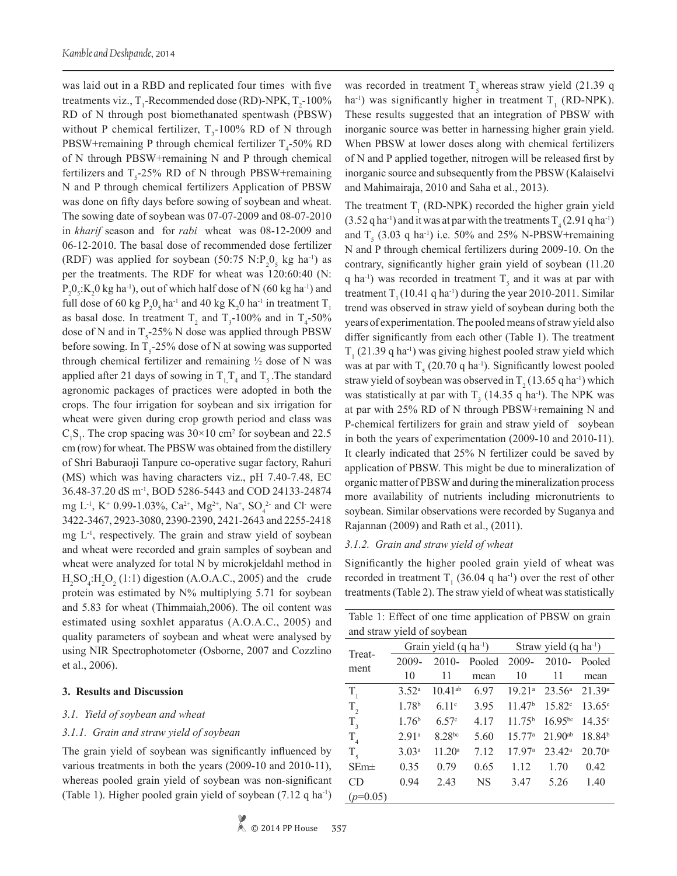was laid out in a RBD and replicated four times with five treatments viz.,  $T_1$ -Recommended dose (RD)-NPK,  $T_2$ -100% RD of N through post biomethanated spentwash (PBSW) without P chemical fertilizer,  $T_3$ -100% RD of N through  $\text{PBSW}$ +remaining P through chemical fertilizer T<sub>4</sub>-50% RD of N through PBSW+remaining N and P through chemical fertilizers and  $T_s$ -25% RD of N through PBSW+remaining N and P through chemical fertilizers Application of PBSW was done on fifty days before sowing of soybean and wheat. The sowing date of soybean was 07-07-2009 and 08-07-2010 in *kharif* season and for *rabi* wheat was 08-12-2009 and 06-12-2010. The basal dose of recommended dose fertilizer (RDF) was applied for soybean  $(50:75 \text{ N}:\text{P}_2\text{O}_5 \text{ kg} \text{ ha}^{-1})$  as per the treatments. The RDF for wheat was 120:60:40 (N:  $P_2O_5$ : $K_2O$  kg ha<sup>-1</sup>), out of which half dose of N (60 kg ha<sup>-1</sup>) and full dose of 60 kg  $P_2O_5$  ha<sup>-1</sup> and 40 kg K<sub>2</sub>0 ha<sup>-1</sup> in treatment T<sub>1</sub> as basal dose. In treatment  $T_2$  and  $T_3$ -100% and in  $T_4$ -50% dose of N and in  $T_s$ -25% N dose was applied through PBSW before sowing. In  $T_5$ -25% dose of N at sowing was supported through chemical fertilizer and remaining  $\frac{1}{2}$  dose of N was applied after 21 days of sowing in  $T_{1,1}T_4$  and  $T_5$ . The standard agronomic packages of practices were adopted in both the crops. The four irrigation for soybean and six irrigation for wheat were given during crop growth period and class was  $C_1S_1$ . The crop spacing was 30×10 cm<sup>2</sup> for soybean and 22.5 cm (row) for wheat. The PBSW was obtained from the distillery of Shri Baburaoji Tanpure co-operative sugar factory, Rahuri (MS) which was having characters viz., pH 7.40-7.48, EC 36.48-37.20 dS m-1, BOD 5286-5443 and COD 24133-24874 mg L<sup>-1</sup>, K<sup>+</sup> 0.99-1.03%, Ca<sup>2+</sup>, Mg<sup>2+</sup>, Na<sup>+</sup>, SO<sub>4</sub><sup>2</sup> and Cl<sup>-</sup> were 3422-3467, 2923-3080, 2390-2390, 2421-2643 and 2255-2418 mg L-1, respectively. The grain and straw yield of soybean and wheat were recorded and grain samples of soybean and wheat were analyzed for total N by microkjeldahl method in  $H_2SO_4$ : $H_2O_2$  (1:1) digestion (A.O.A.C., 2005) and the crude protein was estimated by  $N\%$  multiplying 5.71 for soybean and 5.83 for wheat (Thimmaiah,2006). The oil content was estimated using soxhlet apparatus (A.O.A.C., 2005) and quality parameters of soybean and wheat were analysed by using NIR Spectrophotometer (Osborne, 2007 and Cozzlino et al., 2006).

#### **3. Results and Discussion**

#### *3.1. Yield of soybean and wheat*

#### *3.1.1. Grain and straw yield of soybean*

The grain yield of soybean was significantly influenced by various treatments in both the years (2009-10 and 2010-11), whereas pooled grain yield of soybean was non-significant (Table 1). Higher pooled grain yield of soybean (7.12 q ha-1) was recorded in treatment  $T<sub>s</sub>$  whereas straw yield (21.39 q ha<sup>-1</sup>) was significantly higher in treatment  $T_1$  (RD-NPK). These results suggested that an integration of PBSW with inorganic source was better in harnessing higher grain yield. When PBSW at lower doses along with chemical fertilizers of N and P applied together, nitrogen will be released first by inorganic source and subsequently from the PBSW (Kalaiselvi and Mahimairaja, 2010 and Saha et al., 2013).

The treatment  $T_1$  (RD-NPK) recorded the higher grain yield  $(3.52 \text{ q ha}^{-1})$  and it was at par with the treatments  $T_4(2.91 \text{ q ha}^{-1})$ and  $T<sub>5</sub>$  (3.03 q ha<sup>-1</sup>) i.e. 50% and 25% N-PBSW+remaining N and P through chemical fertilizers during 2009-10. On the contrary, significantly higher grain yield of soybean (11.20 q ha<sup>-1</sup>) was recorded in treatment  $T<sub>5</sub>$  and it was at par with treatment  $T<sub>1</sub>(10.41 q ha<sup>-1</sup>)$  during the year 2010-2011. Similar trend was observed in straw yield of soybean during both the years of experimentation. The pooled means of straw yield also differ significantly from each other (Table 1). The treatment  $T_1$  (21.39 q ha<sup>-1</sup>) was giving highest pooled straw yield which was at par with  $T_5$  (20.70 q ha<sup>-1</sup>). Significantly lowest pooled straw yield of soybean was observed in  $T_2(13.65 \text{ q ha}^{-1})$  which was statistically at par with  $T_3$  (14.35 q ha<sup>-1</sup>). The NPK was at par with 25% RD of N through PBSW+remaining N and P-chemical fertilizers for grain and straw yield of soybean in both the years of experimentation (2009-10 and 2010-11). It clearly indicated that 25% N fertilizer could be saved by application of PBSW. This might be due to mineralization of organic matter of PBSW and during the mineralization process more availability of nutrients including micronutrients to soybean. Similar observations were recorded by Suganya and Rajannan (2009) and Rath et al., (2011).

#### *3.1.2. Grain and straw yield of wheat*

Significantly the higher pooled grain yield of wheat was recorded in treatment  $T_1$  (36.04 q ha<sup>-1</sup>) over the rest of other treatments (Table 2). The straw yield of wheat was statistically

Table 1: Effect of one time application of PBSW on grain

| and straw yield of soybean |                   |                                   |           |                                   |                 |                    |  |  |  |  |  |
|----------------------------|-------------------|-----------------------------------|-----------|-----------------------------------|-----------------|--------------------|--|--|--|--|--|
| Treat-                     |                   | Grain yield $(q \text{ ha}^{-1})$ |           | Straw yield $(q \text{ ha}^{-1})$ |                 |                    |  |  |  |  |  |
| ment                       | 2009-             | $2010-$                           | Pooled    | 2009-                             | $2010-$         | Pooled             |  |  |  |  |  |
|                            | 10                | 11                                | mean      | 10                                | 11              | mean               |  |  |  |  |  |
| $T_{1}$                    | 3.52 <sup>a</sup> | $10.41^{ab}$                      | 6.97      | 19.21 <sup>a</sup>                | $23.56^{\circ}$ | 21.39a             |  |  |  |  |  |
| $T_{2}$                    | 1.78 <sup>b</sup> | 6.11c                             | 3.95      | 11.47 <sup>b</sup>                | $15.82^{\circ}$ | $13.65^{\circ}$    |  |  |  |  |  |
| $T_{\rm a}$                | 1.76 <sup>b</sup> | 6.57c                             | 4.17      | 11.75 <sup>b</sup>                | $16.95^{bc}$    | $14.35^{\circ}$    |  |  |  |  |  |
| $T_{\rm A}$                | 2.91 <sup>a</sup> | 8.28bc                            | 5.60      | $15.77^{\circ}$                   | $21.90^{ab}$    | 18.84 <sup>b</sup> |  |  |  |  |  |
| $T_{\zeta}$                | 3.03 <sup>a</sup> | 11.20 <sup>a</sup>                | 7.12      | 17.97 <sup>a</sup>                | $23.42^{\circ}$ | $20.70^{\circ}$    |  |  |  |  |  |
| $SEm\pm$                   | 0.35              | 0.79                              | 0.65      | 1.12                              | 1.70            | 0.42               |  |  |  |  |  |
| CD                         | 0.94              | 2.43                              | <b>NS</b> | 3.47                              | 5.26            | 1.40               |  |  |  |  |  |
| $(p=0.05)$                 |                   |                                   |           |                                   |                 |                    |  |  |  |  |  |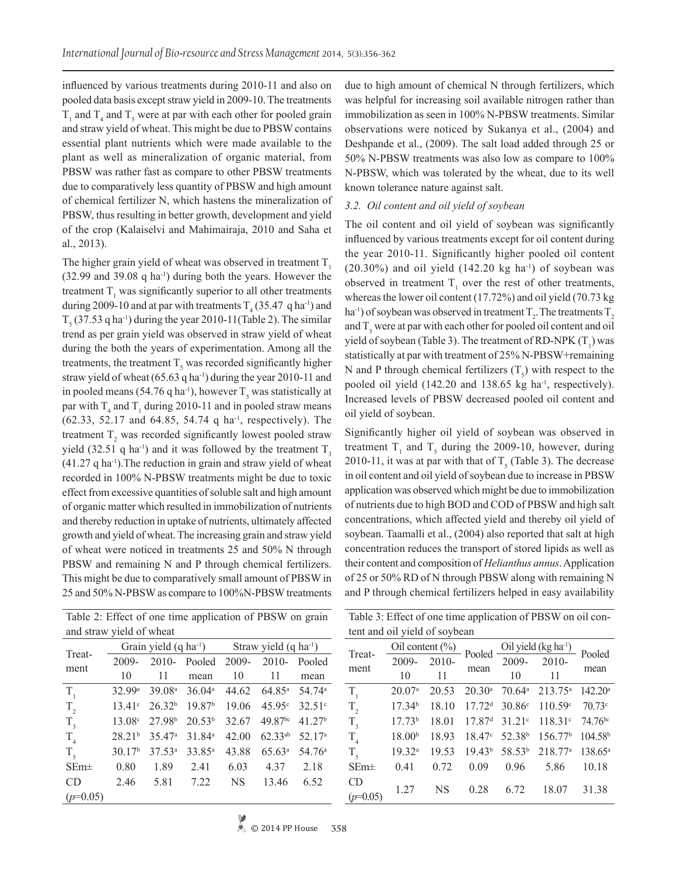influenced by various treatments during 2010-11 and also on pooled data basis except straw yield in 2009-10. The treatments  $T_1$  and  $T_4$  and  $T_5$  were at par with each other for pooled grain and straw yield of wheat. This might be due to PBSW contains essential plant nutrients which were made available to the plant as well as mineralization of organic material, from PBSW was rather fast as compare to other PBSW treatments due to comparatively less quantity of PBSW and high amount of chemical fertilizer N, which hastens the mineralization of PBSW, thus resulting in better growth, development and yield of the crop (Kalaiselvi and Mahimairaja, 2010 and Saha et al., 2013).

The higher grain yield of wheat was observed in treatment  $T<sub>1</sub>$ (32.99 and 39.08 q ha-1) during both the years. However the treatment  $T_1$  was significantly superior to all other treatments during 2009-10 and at par with treatments  $T_4$  (35.47 q ha<sup>-1</sup>) and  $T_5$  (37.53 q ha<sup>-1</sup>) during the year 2010-11(Table 2). The similar trend as per grain yield was observed in straw yield of wheat during the both the years of experimentation. Among all the treatments, the treatment  $T_s$  was recorded significantly higher straw yield of wheat  $(65.63 \text{ q ha}^{-1})$  during the year 2010-11 and in pooled means (54.76 q ha<sup>-1</sup>), however  $T_s$  was statistically at par with  $T_4$  and  $T_1$  during 2010-11 and in pooled straw means  $(62.33, 52.17, and 64.85, 54.74, q ha<sup>-1</sup>, respectively).$  The treatment  $T_2$  was recorded significantly lowest pooled straw yield (32.51 q ha<sup>-1</sup>) and it was followed by the treatment  $T_3$  $(41.27 \text{ q ha}^{-1})$ . The reduction in grain and straw yield of wheat recorded in 100% N-PBSW treatments might be due to toxic effect from excessive quantities of soluble salt and high amount of organic matter which resulted in immobilization of nutrients and thereby reduction in uptake of nutrients, ultimately affected growth and yield of wheat. The increasing grain and straw yield of wheat were noticed in treatments 25 and 50% N through PBSW and remaining N and P through chemical fertilizers. This might be due to comparatively small amount of PBSW in 25 and 50% N-PBSW as compare to 100%N-PBSW treatments

Table 2: Effect of one time application of PBSW on grain and straw yield of wheat

| Treat-          |                    |                    | Grain yield $(q \text{ ha}^{-1})$ | Straw yield $(q \text{ ha}^{-1})$ |                 |                    |  |  |
|-----------------|--------------------|--------------------|-----------------------------------|-----------------------------------|-----------------|--------------------|--|--|
|                 | $2009 -$           | $2010-$            | Pooled                            | 2009-                             | $2010-$         | Pooled             |  |  |
| ment            | 10                 | 11                 | mean                              | 10                                | 11              | mean               |  |  |
| $T_{1}$         | 32.99a             | 39.08 <sup>a</sup> | 36.04a                            | 44.62                             | $64.85^{\circ}$ | $54.74^{\circ}$    |  |  |
| $T_{2}$         | $13.41^{\circ}$    | $26.32^{b}$        | 19.87 <sup>b</sup>                | 19.06                             | 45.95c          | $32.51^{\circ}$    |  |  |
| T <sub>3</sub>  | 13.08 <sup>c</sup> | 27.98 <sup>b</sup> | $20.53^{b}$                       | 32.67                             | 49.87bc         | 41.27 <sup>b</sup> |  |  |
| $\rm T^{}_4$    | 28.21 <sup>b</sup> | 35.47 <sup>a</sup> | 31.84 <sup>a</sup>                | 42.00                             | $62.33^{ab}$    | 52.17 <sup>a</sup> |  |  |
| $T_{\zeta}$     | 30.17 <sup>b</sup> | 37.53 <sup>a</sup> | 33.85 <sup>a</sup>                | 43.88                             | 65.63a          | 54.76 <sup>a</sup> |  |  |
| $SEm\pm$        | 0.80               | 1.89               | 2.41                              | 6.03                              | 4.37            | 2.18               |  |  |
| CD <sub>0</sub> | 2.46               | 5.81               | 7.22                              | <b>NS</b>                         | 13.46           | 6.52               |  |  |
| $(p=0.05)$      |                    |                    |                                   |                                   |                 |                    |  |  |

due to high amount of chemical N through fertilizers, which was helpful for increasing soil available nitrogen rather than immobilization as seen in 100% N-PBSW treatments. Similar observations were noticed by Sukanya et al., (2004) and Deshpande et al., (2009). The salt load added through 25 or 50% N-PBSW treatments was also low as compare to 100% N-PBSW, which was tolerated by the wheat, due to its well known tolerance nature against salt.

#### *3.2. Oil content and oil yield of soybean*

The oil content and oil yield of soybean was significantly influenced by various treatments except for oil content during the year 2010-11. Significantly higher pooled oil content  $(20.30\%)$  and oil yield  $(142.20 \text{ kg ha}^{-1})$  of soybean was observed in treatment  $T_1$  over the rest of other treatments, whereas the lower oil content (17.72%) and oil yield (70.73 kg ha<sup>-1</sup>) of soybean was observed in treatment  $T_2$ . The treatments  $T_2$ and  $T_3$  were at par with each other for pooled oil content and oil yield of soybean (Table 3). The treatment of RD-NPK  $(T_1)$  was statistically at par with treatment of 25% N-PBSW+remaining N and P through chemical fertilizers  $(T<sub>5</sub>)$  with respect to the pooled oil yield  $(142.20 \text{ and } 138.65 \text{ kg ha}^{-1})$ , respectively). Increased levels of PBSW decreased pooled oil content and oil yield of soybean.

Significantly higher oil yield of soybean was observed in treatment  $T_1$  and  $T_5$  during the 2009-10, however, during 2010-11, it was at par with that of  $T<sub>5</sub>$  (Table 3). The decrease in oil content and oil yield of soybean due to increase in PBSW application was observed which might be due to immobilization of nutrients due to high BOD and COD of PBSW and high salt concentrations, which affected yield and thereby oil yield of soybean. Taamalli et al., (2004) also reported that salt at high concentration reduces the transport of stored lipids as well as their content and composition of *Helianthus annus*. Application of 25 or 50% RD of N through PBSW along with remaining N and P through chemical fertilizers helped in easy availability

|                               | Table 3: Effect of one time application of PBSW on oil con- |  |
|-------------------------------|-------------------------------------------------------------|--|
| tent and oil yield of soybean |                                                             |  |

| Treat-                     |                    |           |                    |                              | Oil content (%)<br>2009-2010-2010 Pooled $\frac{$ Oil yield (kg ha <sup>1</sup> )<br>2009-2010- | Pooled              |  |
|----------------------------|--------------------|-----------|--------------------|------------------------------|-------------------------------------------------------------------------------------------------|---------------------|--|
|                            |                    |           |                    |                              |                                                                                                 |                     |  |
| ment                       | 10                 | 11        | mean               | 10                           | 11                                                                                              | mean                |  |
| $T_{1}$                    | 20.07a             | 20.53     | $20.30^{\rm a}$    |                              | $70.64^a$ 213.75 <sup>a</sup>                                                                   | $142.20^a$          |  |
| $T_{2}$                    | 17.34 <sup>b</sup> | 18.10     |                    |                              | $17.72d$ 30.86° $110.59c$                                                                       | 70.73c              |  |
| $T_{\rm a}$                | 17.73 <sup>b</sup> | 18.01     | 17.87 <sup>d</sup> |                              | $31.21^{\circ}$ 118.31 <sup>c</sup>                                                             | $74.76^{bc}$        |  |
| $T_{\scriptscriptstyle A}$ | 18.00 <sup>b</sup> | 18.93     | 18.47c             | 52.38 <sup>b</sup>           | 156.77 <sup>b</sup>                                                                             | 104.58 <sup>b</sup> |  |
| $T_{\zeta}$                | $19.32^{a}$        | 19.53     |                    | $19.43^b$ 58.53 <sup>b</sup> | 218.77 <sup>a</sup>                                                                             | $138.65^a$          |  |
| SEm <sup>±</sup>           | 0.41               | 0.72      | 0.09               | 0.96                         | 5.86                                                                                            | 10.18               |  |
| <b>CD</b>                  | 1.27               | <b>NS</b> | 0.28               | 6.72                         | 18.07                                                                                           | 31.38               |  |
| $(p=0.05)$                 |                    |           |                    |                              |                                                                                                 |                     |  |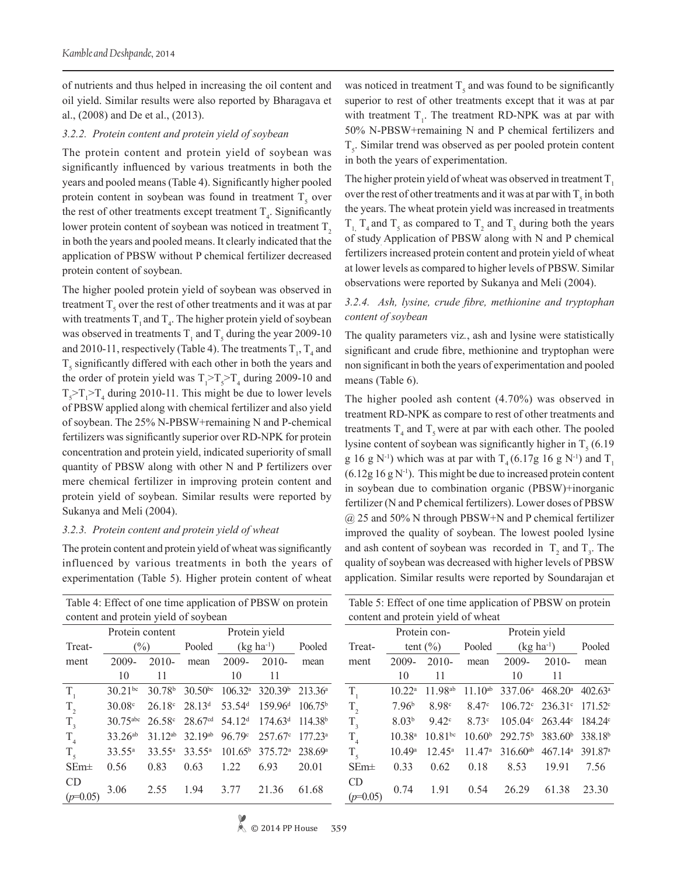of nutrients and thus helped in increasing the oil content and oil yield. Similar results were also reported by Bharagava et al., (2008) and De et al., (2013).

#### *3.2.2. Protein content and protein yield of soybean*

The protein content and protein yield of soybean was significantly influenced by various treatments in both the years and pooled means (Table 4). Significantly higher pooled protein content in soybean was found in treatment  $T<sub>5</sub>$  over the rest of other treatments except treatment  $T<sub>4</sub>$ . Significantly lower protein content of soybean was noticed in treatment  $T<sub>2</sub>$ in both the years and pooled means. It clearly indicated that the application of PBSW without P chemical fertilizer decreased protein content of soybean.

The higher pooled protein yield of soybean was observed in treatment  $T<sub>5</sub>$  over the rest of other treatments and it was at par with treatments  $T_1$  and  $T_4$ . The higher protein yield of soybean was observed in treatments  $T_1$  and  $T_5$  during the year 2009-10 and 2010-11, respectively (Table 4). The treatments  $T_1$ ,  $T_4$  and  $T<sub>5</sub>$  significantly differed with each other in both the years and the order of protein yield was  $T_1 > T_5 > T_4$  during 2009-10 and  $T_5 > T_1 > T_4$  during 2010-11. This might be due to lower levels of PBSW applied along with chemical fertilizer and also yield of soybean. The 25% N-PBSW+remaining N and P-chemical fertilizers was significantly superior over RD-NPK for protein concentration and protein yield, indicated superiority of small quantity of PBSW along with other N and P fertilizers over mere chemical fertilizer in improving protein content and protein yield of soybean. Similar results were reported by Sukanya and Meli (2004).

## *3.2.3. Protein content and protein yield of wheat*

The protein content and protein yield of wheat was significantly influenced by various treatments in both the years of experimentation (Table 5). Higher protein content of wheat

| Table 4: Effect of one time application of PBSW on protein |                                      |                     |                     |                     |                     |                     |  |  |  |  |  |
|------------------------------------------------------------|--------------------------------------|---------------------|---------------------|---------------------|---------------------|---------------------|--|--|--|--|--|
|                                                            | content and protein yield of soybean |                     |                     |                     |                     |                     |  |  |  |  |  |
|                                                            | Protein content                      |                     |                     |                     |                     |                     |  |  |  |  |  |
| Treat-                                                     | $(\%)$                               |                     | Pooled              |                     | $(kg ha^{-1})$      | Pooled              |  |  |  |  |  |
| ment                                                       | $2009 -$                             | $2010-$             | mean                | 2009-               | $2010-$             | mean                |  |  |  |  |  |
|                                                            | 10                                   | 11                  |                     | 10                  | 11                  |                     |  |  |  |  |  |
| $T_{1}$                                                    | $30.21^{bc}$                         | 30.78 <sup>b</sup>  | $30.50^{bc}$        | $106.32^a$          | 320.39 <sup>b</sup> | 213.36 <sup>a</sup> |  |  |  |  |  |
| $T_{2}$                                                    | 30.08c                               | $26.18^{\circ}$     | $28.13^{d}$         | 53.54 <sup>d</sup>  | 159.96 <sup>d</sup> | 106.75 <sup>b</sup> |  |  |  |  |  |
| $T_{\rm a}$                                                | 30.75abc                             | $26.58^{\circ}$     | 28.67 <sup>cd</sup> | 54.12 <sup>d</sup>  | 174.63 <sup>d</sup> | 114.38 <sup>b</sup> |  |  |  |  |  |
| $T_{\rm A}$                                                | $33.26^{ab}$                         | 31 12 <sup>ab</sup> | 32 19ab             | 96.79c              | $257.67^{\circ}$    | $177.23^a$          |  |  |  |  |  |
| $T_{\zeta}$                                                | $33.55^{\circ}$                      | $33.55^a$           | $33.55^{\circ}$     | 101.65 <sup>b</sup> | 375.72 <sup>a</sup> | 238.69 <sup>a</sup> |  |  |  |  |  |
| $SEm\pm$                                                   | 0.56                                 | 0.83                | 0.63                | 1.22                | 6.93                | 20.01               |  |  |  |  |  |
| CD<br>$(p=0.05)$                                           | 3.06                                 | 2.55                | 1.94                | 3.77                | 21.36               | 61.68               |  |  |  |  |  |

was noticed in treatment  $T_s$  and was found to be significantly superior to rest of other treatments except that it was at par with treatment  $T_1$ . The treatment RD-NPK was at par with 50% N-PBSW+remaining N and P chemical fertilizers and  $T<sub>5</sub>$ . Similar trend was observed as per pooled protein content in both the years of experimentation.

The higher protein yield of wheat was observed in treatment  $T<sub>1</sub>$ over the rest of other treatments and it was at par with  $T_s$  in both the years. The wheat protein yield was increased in treatments  $T_{1, T_4}$  and  $T_5$  as compared to  $T_2$  and  $T_3$  during both the years of study. Application of PBSW along with N and P chemical fertilizers increased protein content and protein yield of wheat at lower levels as compared to higher levels of PBSW. Similar observations were reported by Sukanya and Meli (2004).

## *3.2.4. Ash, lysine, crude fibre, methionine and tryptophan content of soybean*

The quality parameters viz*.*, ash and lysine were statistically significant and crude fibre, methionine and tryptophan were non significant in both the years of experimentation and pooled means (Table 6).

The higher pooled ash content (4.70%) was observed in treatment RD-NPK as compare to rest of other treatments and treatments  $T_4$  and  $T_5$  were at par with each other. The pooled lysine content of soybean was significantly higher in  $T<sub>5</sub>$  (6.19) g 16 g N<sup>-1</sup>) which was at par with  $T<sub>4</sub> (6.17g 16g N<sup>-1</sup>)$  and  $T<sub>1</sub>$  $(6.12g 16g N<sup>-1</sup>)$ . This might be due to increased protein content in soybean due to combination organic (PBSW)+inorganic fertilizer (N and P chemical fertilizers). Lower doses of PBSW @ 25 and 50% N through PBSW+N and P chemical fertilizer improved the quality of soybean. The lowest pooled lysine and ash content of soybean was recorded in  $T_2$  and  $T_3$ . The quality of soybean was decreased with higher levels of PBSW application. Similar results were reported by Soundarajan et

|                                    | Table 5: Effect of one time application of PBSW on protein |                     |                    |                     |                     |                     |  |  |  |  |  |  |
|------------------------------------|------------------------------------------------------------|---------------------|--------------------|---------------------|---------------------|---------------------|--|--|--|--|--|--|
| content and protein yield of wheat |                                                            |                     |                    |                     |                     |                     |  |  |  |  |  |  |
|                                    |                                                            | Protein con-        |                    |                     |                     |                     |  |  |  |  |  |  |
| Treat-                             |                                                            | tent $(\% )$        | Pooled             | $(kg ha^{-1})$      | Pooled              |                     |  |  |  |  |  |  |
| ment                               | 2009-                                                      | 2010-               | mean               | 2009-               | $2010-$             | mean                |  |  |  |  |  |  |
|                                    | 10                                                         | 11                  |                    | 10                  | 11                  |                     |  |  |  |  |  |  |
| $T_{1}$                            | 10.22 <sup>a</sup>                                         | 11.98 <sup>ab</sup> | $11.10^{ab}$       | $337.06^a$          | 468.20 <sup>a</sup> | $402.63^{\circ}$    |  |  |  |  |  |  |
| $T_{2}$                            | 7.96 <sup>b</sup>                                          | 8.98 <sup>c</sup>   | 8.47c              | $106.72^{\circ}$    | $236.31^{\circ}$    | 171.52 <sup>c</sup> |  |  |  |  |  |  |
| $T_{\rm a}$                        | 8.03 <sup>b</sup>                                          | $9.42^{\circ}$      | 8.73c              | $105.04^{\circ}$    | $263.44^{\circ}$    | 184.24 <sup>c</sup> |  |  |  |  |  |  |
| $T_{\rm A}$                        | $10.38^{a}$                                                | $10.81^{bc}$        | 10.60 <sup>b</sup> | 292.75 <sup>b</sup> | 383.60 <sup>b</sup> | 338.18 <sup>b</sup> |  |  |  |  |  |  |
| T <sub>5</sub>                     | 10.49 <sup>a</sup>                                         | $12.45^{\circ}$     | 11.47 <sup>a</sup> | $316.60^{ab}$       | 467.14 <sup>a</sup> | 391.87 <sup>a</sup> |  |  |  |  |  |  |
| $SEm\pm$                           | 0.33                                                       | 0.62                | 0.18               | 8.53                | 19.91               | 7.56                |  |  |  |  |  |  |
| CD<br>$(p=0.05)$                   | 0.74                                                       | 1.91                | 0.54               | 26.29               | 61.38               | 23.30               |  |  |  |  |  |  |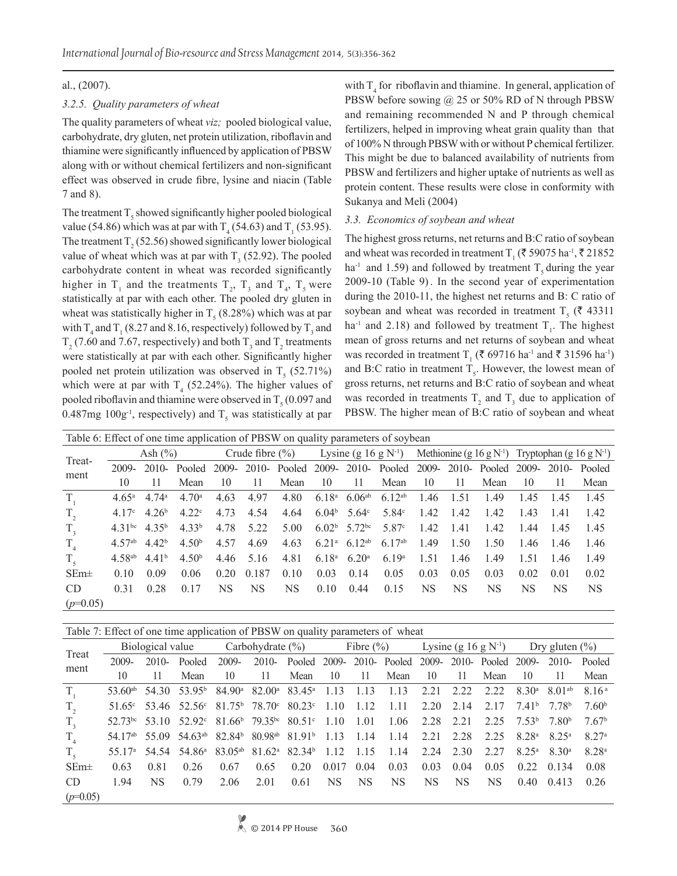## al., (2007).

## *3.2.5. Quality parameters of wheat*

The quality parameters of wheat *viz;* pooled biological value, carbohydrate, dry gluten, net protein utilization, riboflavin and thiamine were significantly influenced by application of PBSW along with or without chemical fertilizers and non-significant effect was observed in crude fibre, lysine and niacin (Table 7 and 8).

The treatment  $T_s$  showed significantly higher pooled biological value (54.86) which was at par with  $T_4$  (54.63) and  $T_1$  (53.95). The treatment  $T_2$  (52.56) showed significantly lower biological value of wheat which was at par with  $T<sub>3</sub>$  (52.92). The pooled carbohydrate content in wheat was recorded significantly higher in  $T_1$  and the treatments  $T_2$ ,  $T_3$  and  $T_4$ ,  $T_5$  were statistically at par with each other. The pooled dry gluten in wheat was statistically higher in  $T_5$  (8.28%) which was at par with  $T_4$  and  $T_1$  (8.27 and 8.16, respectively) followed by  $T_3$  and  $T_2$  (7.60 and 7.67, respectively) and both  $T_3$  and  $T_2$  treatments were statistically at par with each other. Significantly higher pooled net protein utilization was observed in  $T<sub>5</sub>$  (52.71%) which were at par with  $T_4$  (52.24%). The higher values of pooled riboflavin and thiamine were observed in  $T<sub>5</sub>$  (0.097 and 0.487mg  $100g<sup>-1</sup>$ , respectively) and T<sub>5</sub> was statistically at par with  $T_4$  for riboflavin and thiamine. In general, application of PBSW before sowing @ 25 or 50% RD of N through PBSW and remaining recommended N and P through chemical fertilizers, helped in improving wheat grain quality than that of 100% N through PBSW with or without P chemical fertilizer. This might be due to balanced availability of nutrients from PBSW and fertilizers and higher uptake of nutrients as well as protein content. These results were close in conformity with Sukanya and Meli (2004)

## *3.3. Economics of soybean and wheat*

The highest gross returns, net returns and B:C ratio of soybean and wheat was recorded in treatment  $T_1$  ( $\bar{\tau}$  59075 ha<sup>-1</sup>,  $\bar{\tau}$  21852 ha<sup>-1</sup> and 1.59) and followed by treatment  $T_5$  during the year 2009-10 (Table 9). . In the second year of experimentation during the 2010-11, the highest net returns and B: C ratio of soybean and wheat was recorded in treatment  $T<sub>5</sub>$  (₹ 43311 ha<sup>-1</sup> and 2.18) and followed by treatment  $T_1$ . The highest mean of gross returns and net returns of soybean and wheat was recorded in treatment  $T_1$  ( $\bar{\tau}$  69716 ha<sup>-1</sup> and  $\bar{\tau}$  31596 ha<sup>-1</sup>) and B:C ratio in treatment  $T<sub>5</sub>$ . However, the lowest mean of gross returns, net returns and B:C ratio of soybean and wheat was recorded in treatments  $T_2$  and  $T_3$  due to application of PBSW. The higher mean of B:C ratio of soybean and wheat

|                 | Table 6: Effect of one time application of PBSW on quality parameters of soybean |                   |                   |                     |       |                                                                |                   |                                      |                   |      |      |                                                                           |      |      |        |
|-----------------|----------------------------------------------------------------------------------|-------------------|-------------------|---------------------|-------|----------------------------------------------------------------|-------------------|--------------------------------------|-------------------|------|------|---------------------------------------------------------------------------|------|------|--------|
| Treat-          | Ash $(\% )$                                                                      |                   |                   | Crude fibre $(\% )$ |       | Lysine (g 16 g $N^{-1}$ )                                      |                   |                                      |                   |      |      | Methionine (g 16 g N <sup>-1</sup> ) Tryptophan (g 16 g N <sup>-1</sup> ) |      |      |        |
| ment            | 2009-                                                                            |                   | $2010$ - Pooled   | 2009-               |       | 2010- Pooled 2009- 2010- Pooled 2009- 2010- Pooled 2009- 2010- |                   |                                      |                   |      |      |                                                                           |      |      | Pooled |
|                 | 10                                                                               | 11                | Mean              | 10                  | 11    | Mean                                                           | 10                | 11                                   | Mean              | 10   | 11   | Mean                                                                      | 10   | 11   | Mean   |
| $T_{\rm A}$     | $4.65^{\rm a}$                                                                   | $4.74^{\circ}$    | 4.70 <sup>a</sup> | 4.63                | 4.97  | 4.80                                                           | $6.18^{a}$        | $6.06^{ab}$                          | $6.12^{ab}$       | 1.46 | 1.51 | 1.49                                                                      | 145  | 1.45 | 1.45   |
| $T_{2}$         | 4 17 <sup>c</sup>                                                                | 4.26 <sup>b</sup> | 4.22c             | 4.73                | 4.54  | 4.64                                                           | 6.04 <sup>b</sup> | $5.64^\circ$                         | 5.84 $^{\circ}$   | 1.42 | 1.42 | 1.42                                                                      | 143  | 141  | 142    |
| $T_{3}$         | 4.31 <sup>bc</sup>                                                               | 4.35 <sup>b</sup> | 4.33 <sup>b</sup> | 4.78                | 5.22  | 5.00                                                           |                   | 6.02 <sup>b</sup> 5.72 <sup>bc</sup> | 5.87 <sup>c</sup> | 1.42 | 1.41 | 1.42                                                                      | 144  | 1.45 | 145    |
| $T_{\rm A}$     | $4.57^{ab}$                                                                      | 4.42 <sup>b</sup> | 4.50 <sup>b</sup> | 4.57                | 4.69  | 4.63                                                           |                   | $6.21^a$ 6.12 <sup>ab</sup>          | $6.17^{ab}$       | 1.49 | 1.50 | 1.50                                                                      | 1.46 | 1.46 | 1.46   |
| $T_{\zeta}$     | 4.58 <sup>ab</sup>                                                               | 4.41 <sup>b</sup> | 4.50 <sup>b</sup> | 4.46                | 5.16  | 4.81                                                           | $6.18^{a}$        | 6.20 <sup>a</sup>                    | 6.19 <sup>a</sup> | 1.51 | 1.46 | 149                                                                       | 1.51 | 146  | 1.49   |
| $SEm\pm$        | 0.10                                                                             | 0.09              | 0.06              | 0.20                | 0.187 | 0.10                                                           | 0.03              | 0.14                                 | 0.05              | 0.03 | 0.05 | 0.03                                                                      | 0.02 | 0.01 | 0.02   |
| CD <sub>.</sub> | 0.31                                                                             | 0.28              | 0.17              | NS                  | NS    | NS                                                             | 0.10              | 0.44                                 | 0.15              | NS   | NS   | NS.                                                                       | NS   | NS   | NS     |
| $(p=0.05)$      |                                                                                  |                   |                   |                     |       |                                                                |                   |                                      |                   |      |      |                                                                           |      |      |        |

| Table 7: Effect of one time application of PBSW on quality parameters of wheat |  |
|--------------------------------------------------------------------------------|--|

|                |       |      | $Biological value$ Carbohydrate $(\%)$                                                                                            |       |      |                                                                |       |      | Fibre $(\%)$ Lysine $(g 16 g N^{-1})$ Dry gluten $(\%)$ |                   |      |      |                                      |                                |                   |
|----------------|-------|------|-----------------------------------------------------------------------------------------------------------------------------------|-------|------|----------------------------------------------------------------|-------|------|---------------------------------------------------------|-------------------|------|------|--------------------------------------|--------------------------------|-------------------|
| Treat<br>ment  | 2009- |      | $2010$ - Pooled                                                                                                                   | 2009- |      | 2010- Pooled 2009- 2010- Pooled 2009- 2010- Pooled 2009- 2010- |       |      |                                                         |                   |      |      |                                      |                                | Pooled            |
|                | 10    | -11  | Mean                                                                                                                              | 10    | -11  | Mean                                                           | - 10  | - 11 | Mean                                                    | - 10              | 11   | Mean | -10                                  | -11                            | Mean              |
| $T_{1}$        |       |      | 53.60 <sup>ab</sup> 54.30 53.95 <sup>b</sup> 84.90 <sup>a</sup> 82.00 <sup>a</sup> 83.45 <sup>a</sup> 1.13 1.13                   |       |      |                                                                |       |      | 1.13                                                    | 2.21              | 2.22 | 2.22 |                                      | $8.30^{\rm a}$ $8.01^{\rm ab}$ | 816 <sup>a</sup>  |
| $T_{2}$        |       |      | $51.65^{\circ}$ $53.46$ $52.56^{\circ}$ $81.75^{\circ}$ $78.70^{\circ}$ $80.23^{\circ}$ 1.10 1.12                                 |       |      |                                                                |       |      | 1 1 1                                                   | $2.20 \quad 2.14$ |      | 2.17 | 741 <sup>b</sup> 778 <sup>b</sup>    |                                | 7.60 <sup>b</sup> |
| $T_{\rm a}$    |       |      | $52.73^{bc}$ 53.10 52.92° 81.66 <sup>b</sup> 79.35 <sup>bc</sup> 80.51° 1.10 1.01                                                 |       |      |                                                                |       |      | 1.06                                                    | 2.28 2.21         |      |      | $2.25$ $7.53^{\circ}$ $7.80^{\circ}$ |                                | 7.67 <sup>b</sup> |
| $T_{\rm A}$    |       |      | $54.17ab$ 55.09 54.63 <sup><math>ab</math></sup> 82.84 <sup>b</sup> 80.98 <sup><math>ab</math></sup> 81.91 <sup>b</sup> 1.13 1.14 |       |      |                                                                |       |      | 1.14                                                    | 2.21 2.28         |      | 2.25 | $8.28^{\rm a}$ $8.25^{\rm a}$        |                                | 8 27 <sup>a</sup> |
| $T_{\epsilon}$ |       |      | 55.17 <sup>a</sup> 54.54 54.86 <sup>a</sup> 83.05 <sup>ab</sup> 81.62 <sup>a</sup> 82.34 <sup>b</sup> 1.12 1.15                   |       |      |                                                                |       |      | 1.14                                                    | 2.24 2.30         |      | 2.27 | $825^a$ $830^a$                      |                                | 8 28 <sup>a</sup> |
| $SEm\pm$       | 0.63  | 0.81 | 0.26                                                                                                                              | 0.67  | 0.65 | 0.20                                                           | 0.017 | 0.04 | 0.03                                                    | 0.03              | 0.04 | 0.05 |                                      | $0.22 \quad 0.134$             | 0.08              |
| CD.            | 194   | NS.  | 0.79                                                                                                                              | 2.06  | 2.01 | 0.61                                                           | NS.   | NS.  | NS.                                                     | <b>NS</b>         | NS   | NS.  | 0.40                                 | 0.413                          | 0.26              |
| $(p=0.05)$     |       |      |                                                                                                                                   |       |      |                                                                |       |      |                                                         |                   |      |      |                                      |                                |                   |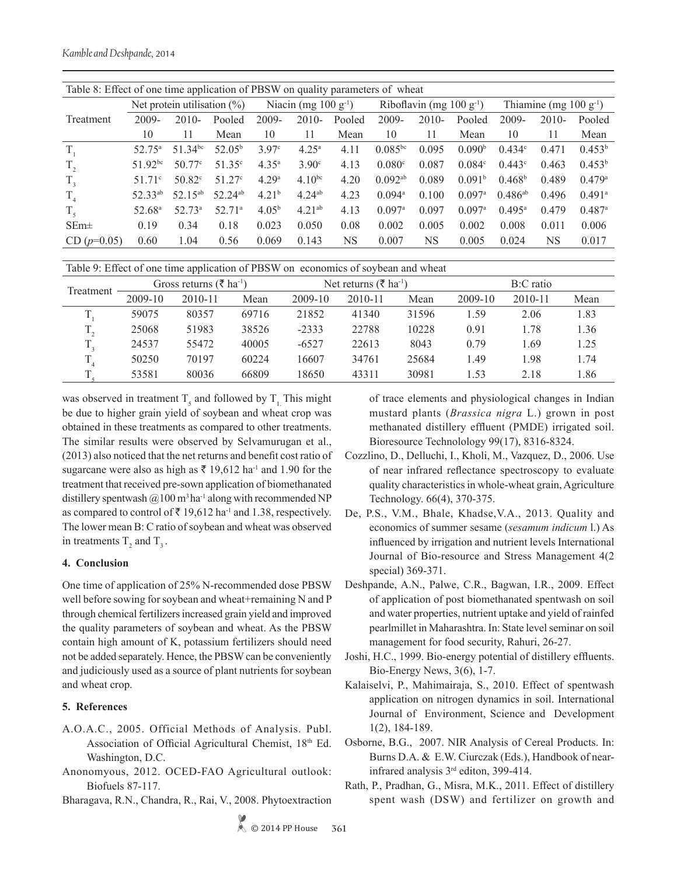|                            | Table 8: Effect of one time application of PBSW on quality parameters of wheat |                     |                     |                   |                                   |        |                       |                               |                      |                    |                                     |                      |  |  |
|----------------------------|--------------------------------------------------------------------------------|---------------------|---------------------|-------------------|-----------------------------------|--------|-----------------------|-------------------------------|----------------------|--------------------|-------------------------------------|----------------------|--|--|
|                            | Net protein utilisation $(\%)$                                                 |                     |                     |                   | Niacin (mg $100 \text{ g}^{-1}$ ) |        |                       | Riboflavin (mg 100 $g^{-1}$ ) |                      |                    | Thiamine (mg $100 \text{ g}^{-1}$ ) |                      |  |  |
| Treatment                  | 2009-                                                                          | $2010-$             | Pooled              | $2009 -$          | $2010-$                           | Pooled | 2009-                 | $2010-$                       | Pooled               | $2009 -$           | $2010-$                             | Pooled               |  |  |
|                            | 10                                                                             | 11                  | Mean                | 10                | 11                                | Mean   | 10                    | 11                            | Mean                 | 10                 | 11                                  | Mean                 |  |  |
| $T_{1}$                    | 52.75 <sup>a</sup>                                                             | $51.34^{bc}$        | $52.05^{\rm b}$     | 3.97c             | $4.25^{\rm a}$                    | 4.11   | $0.085^{bc}$          | 0.095                         | 0.090 <sup>b</sup>   | 0.434c             | 0.471                               | $0.453^b$            |  |  |
| $T_{2}$                    | $51.92^{bc}$                                                                   | 50.77c              | $51.35^{\circ}$     | $4.35^{\rm a}$    | 3.90 <sup>c</sup>                 | 4.13   | 0.080c                | 0.087                         | 0.084c               | $0.443^{\circ}$    | 0.463                               | 0.453 <sup>b</sup>   |  |  |
| $T_{\rm a}$                | 51 71 <sup>c</sup>                                                             | 50.82c              | 51.27c              | 4.29a             | 4.10 <sup>bc</sup>                | 4.20   | $0.092$ <sup>ab</sup> | 0.089                         | 0.091 <sup>b</sup>   | 0.468 <sup>b</sup> | 0.489                               | 0.479a               |  |  |
| $T_{\scriptscriptstyle A}$ | 52.33 <sup>ab</sup>                                                            | 52.15 <sup>ab</sup> | 52.24 <sup>ab</sup> | 4.21 <sup>b</sup> | $4.24^{ab}$                       | 4.23   | $0.094$ <sup>a</sup>  | 0.100                         | $0.097$ <sup>a</sup> | $0.486^{ab}$       | 0.496                               | $0.491$ <sup>a</sup> |  |  |
| $T_{\rm s}$                | 52.68 <sup>a</sup>                                                             | $52.73^a$           | $52.71^a$           | 4.05 <sup>b</sup> | $4.21^{ab}$                       | 4.13   | $0.097$ <sup>a</sup>  | 0.097                         | $0.097$ <sup>a</sup> | $0.495^{\rm a}$    | 0.479                               | $0.487$ <sup>a</sup> |  |  |
| SEm <sup>±</sup>           | 0.19                                                                           | 0.34                | 0.18                | 0.023             | 0.050                             | 0.08   | 0.002                 | 0.005                         | 0.002                | 0.008              | 0.011                               | 0.006                |  |  |
| $CD (p=0.05)$              | 0.60                                                                           | 1.04                | 0.56                | 0.069             | 0.143                             | NS     | 0.007                 | NS                            | 0.005                | 0.024              | <b>NS</b>                           | 0.017                |  |  |
|                            |                                                                                |                     |                     |                   |                                   |        |                       |                               |                      |                    |                                     |                      |  |  |

Table 9: Effect of one time application of PBSW on economics of soybean and wheat

| Treatment         |         | Gross returns ( $\bar{\tau}$ ha <sup>-1</sup> ) |       |             | Net returns ( $\bar{\xi}$ ha <sup>-1</sup> ) |       | B:C ratio |             |      |  |
|-------------------|---------|-------------------------------------------------|-------|-------------|----------------------------------------------|-------|-----------|-------------|------|--|
|                   | 2009-10 | 2010-11                                         | Mean  | $2009 - 10$ | 2010-11                                      | Mean  | 2009-10   | $2010 - 11$ | Mean |  |
|                   | 59075   | 80357                                           | 69716 | 21852       | 41340                                        | 31596 | 1.59      | 2.06        | 1.83 |  |
| Ŧ<br>$\mathbf{1}$ | 25068   | 51983                                           | 38526 | $-2333$     | 22788                                        | 10228 | 0.91      | .78         | 1.36 |  |
|                   | 24537   | 55472                                           | 40005 | $-6527$     | 22613                                        | 8043  | 0.79      | .69         | 1.25 |  |
|                   | 50250   | 70197                                           | 60224 | 16607       | 34761                                        | 25684 | 1.49      | .98         | 1.74 |  |
|                   | 53581   | 80036                                           | 66809 | 18650       | 43311                                        | 30981 | 1.53      | 2.18        | 1.86 |  |

was observed in treatment  $T_s$  and followed by  $T_1$ . This might be due to higher grain yield of soybean and wheat crop was obtained in these treatments as compared to other treatments. The similar results were observed by Selvamurugan et al., (2013) also noticed that the net returns and benefit cost ratio of sugarcane were also as high as  $\bar{\tau}$  19,612 ha<sup>-1</sup> and 1.90 for the treatment that received pre-sown application of biomethanated distillery spentwash  $@100 \text{ m}^3$  ha<sup>-1</sup> along with recommended NP as compared to control of  $\bar{\tau}$  19,612 ha<sup>-1</sup> and 1.38, respectively. The lower mean B: C ratio of soybean and wheat was observed in treatments  $T_2$  and  $T_3$ .

#### **4. Conclusion**

One time of application of 25% N-recommended dose PBSW well before sowing for soybean and wheat+remaining N and P through chemical fertilizers increased grain yield and improved the quality parameters of soybean and wheat. As the PBSW contain high amount of K, potassium fertilizers should need not be added separately. Hence, the PBSW can be conveniently and judiciously used as a source of plant nutrients for soybean and wheat crop.

## **5. References**

- A.O.A.C., 2005. Official Methods of Analysis. Publ. Association of Official Agricultural Chemist, 18th Ed. Washington, D.C.
- Anonomyous, 2012. OCED-FAO Agricultural outlook: Biofuels 87-117.
- Bharagava, R.N., Chandra, R., Rai, V., 2008. Phytoextraction

of trace elements and physiological changes in Indian mustard plants (*Brassica nigra* L.) grown in post methanated distillery effluent (PMDE) irrigated soil. Bioresource Technolology 99(17), 8316-8324.

- Cozzlino, D., Delluchi, I., Kholi, M., Vazquez, D., 2006. Use of near infrared reflectance spectroscopy to evaluate quality characteristics in whole-wheat grain, Agriculture Technology. 66(4), 370-375.
- De, P.S., V.M., Bhale, Khadse,V.A., 2013. Quality and economics of summer sesame (*sesamum indicum* l.) As influenced by irrigation and nutrient levels International Journal of Bio-resource and Stress Management 4(2 special) 369-371.
- Deshpande, A.N., Palwe, C.R., Bagwan, I.R., 2009. Effect of application of post biomethanated spentwash on soil and water properties, nutrient uptake and yield of rainfed pearlmillet in Maharashtra. In: State level seminar on soil management for food security, Rahuri, 26-27.
- Joshi, H.C., 1999. Bio-energy potential of distillery effluents. Bio-Energy News, 3(6), 1-7.
- Kalaiselvi, P., Mahimairaja, S., 2010. Effect of spentwash application on nitrogen dynamics in soil. International Journal of Environment, Science and Development 1(2), 184-189.
- Osborne, B.G., 2007. NIR Analysis of Cereal Products. In: Burns D.A. & E.W. Ciurczak (Eds.), Handbook of nearinfrared analysis 3rd editon, 399-414.
- Rath, P., Pradhan, G., Misra, M.K., 2011. Effect of distillery spent wash (DSW) and fertilizer on growth and